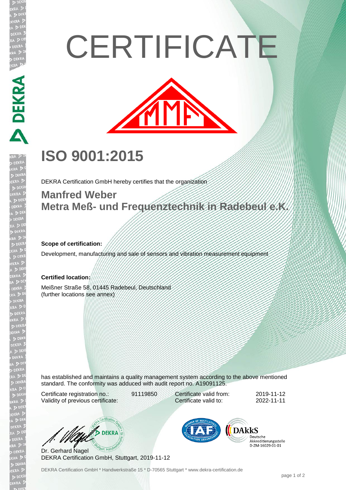# **CERTIFICATE**



## **ISO 9001:2015**

DEKRA Certification GmbH hereby certifies that the organization

### **Manfred Weber Metra Meß- und Frequenztechnik in Radebeul e.K.**

#### **Scope of certification:**

**DEKRA PRE** 

EKR

Development, manufacturing and sale of sensors and vibration measurement equipment

#### **Certified location:**

Meißner Straße 58, 01445 Radebeul, Deutschland (further locations see annex)

has established and maintains a quality management system according to the above mentioned standard. The conformity was adduced with audit report no. A19091125.

Certificate registration no.: 91119850 Validity of previous certificate:

Certificate valid from: 2019-11-12 Certificate valid to: 2022-11-11

 $\sum$  DEKRA

Dr. Gerhard Nagel DEKRA Certification GmbH, Stuttgart, 2019-11-12



Deutsche Akkreditierungsstelle D-7M-16029-01-01

DEKRA Certification GmbH \* Handwerkstraße 15 \* D-70565 Stuttgart \* www.dekra-certification.de